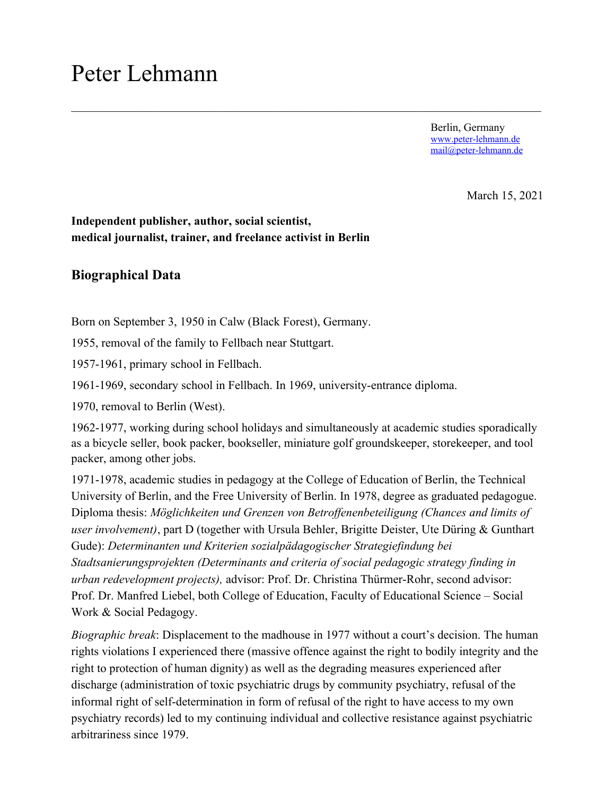# Peter Lehmann

Berlin, Germany www.peter-lehmann.de mail@peter-lehmann.de

March 15, 2021

## **Independent publisher, author, social scientist, medical journalist, trainer, and freelance activist in Berlin**

# **Biographical Data**

Born on September 3, 1950 in Calw (Black Forest), Germany.

1955, removal of the family to Fellbach near Stuttgart.

1957-1961, primary school in Fellbach.

1961-1969, secondary school in Fellbach. In 1969, university-entrance diploma.

1970, removal to Berlin (West).

1962-1977, working during school holidays and simultaneously at academic studies sporadically as a bicycle seller, book packer, bookseller, miniature golf groundskeeper, storekeeper, and tool packer, among other jobs.

1971-1978, academic studies in pedagogy at the College of Education of Berlin, the Technical University of Berlin, and the Free University of Berlin. In 1978, degree as graduated pedagogue. Diploma thesis: *Möglichkeiten und Grenzen von Betroffenenbeteiligung (Chances and limits of user involvement)*, part D (together with Ursula Behler, Brigitte Deister, Ute Düring & Gunthart Gude): *Determinanten und Kriterien sozialpädagogischer Strategiefindung bei Stadtsanierungsprojekten (Determinants and criteria of social pedagogic strategy finding in urban redevelopment projects),* advisor: Prof. Dr. Christina Thürmer-Rohr, second advisor: Prof. Dr. Manfred Liebel, both College of Education, Faculty of Educational Science – Social Work & Social Pedagogy.

*Biographic break*: Displacement to the madhouse in 1977 without a court's decision. The human rights violations I experienced there (massive offence against the right to bodily integrity and the right to protection of human dignity) as well as the degrading measures experienced after discharge (administration of toxic psychiatric drugs by community psychiatry, refusal of the informal right of self-determination in form of refusal of the right to have access to my own psychiatry records) led to my continuing individual and collective resistance against psychiatric arbitrariness since 1979.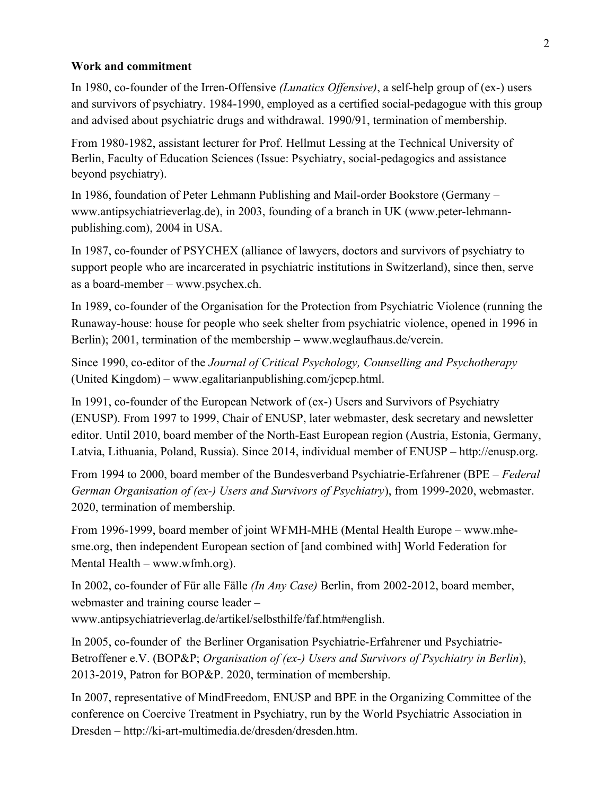#### **Work and commitment**

In 1980, co-founder of the Irren-Offensive *(Lunatics Offensive)*, a self-help group of (ex-) users and survivors of psychiatry. 1984-1990, employed as a certified social-pedagogue with this group and advised about psychiatric drugs and withdrawal. 1990/91, termination of membership.

From 1980-1982, assistant lecturer for Prof. Hellmut Lessing at the Technical University of Berlin, Faculty of Education Sciences (Issue: Psychiatry, social-pedagogics and assistance beyond psychiatry).

In 1986, foundation of Peter Lehmann Publishing and Mail-order Bookstore (Germany – www.antipsychiatrieverlag.de), in 2003, founding of a branch in UK (www.peter-lehmannpublishing.com), 2004 in USA.

In 1987, co-founder of PSYCHEX (alliance of lawyers, doctors and survivors of psychiatry to support people who are incarcerated in psychiatric institutions in Switzerland), since then, serve as a board-member – www.psychex.ch.

In 1989, co-founder of the Organisation for the Protection from Psychiatric Violence (running the Runaway-house: house for people who seek shelter from psychiatric violence, opened in 1996 in Berlin); 2001, termination of the membership – www.weglaufhaus.de/verein.

Since 1990, co-editor of the *Journal of Critical Psychology, Counselling and Psychotherapy* (United Kingdom) – www.egalitarianpublishing.com/jcpcp.html.

In 1991, co-founder of the European Network of (ex-) Users and Survivors of Psychiatry (ENUSP). From 1997 to 1999, Chair of ENUSP, later webmaster, desk secretary and newsletter editor. Until 2010, board member of the North-East European region (Austria, Estonia, Germany, Latvia, Lithuania, Poland, Russia). Since 2014, individual member of ENUSP – http://enusp.org.

From 1994 to 2000, board member of the Bundesverband Psychiatrie-Erfahrener (BPE – *Federal German Organisation of (ex-) Users and Survivors of Psychiatry*), from 1999-2020, webmaster. 2020, termination of membership.

From 1996-1999, board member of joint WFMH-MHE (Mental Health Europe – www.mhesme.org, then independent European section of [and combined with] World Federation for Mental Health – www.wfmh.org).

In 2002, co-founder of Für alle Fälle *(In Any Case)* Berlin, from 2002-2012, board member, webmaster and training course leader –

www.antipsychiatrieverlag.de/artikel/selbsthilfe/faf.htm#english.

In 2005, co-founder of the Berliner Organisation Psychiatrie-Erfahrener und Psychiatrie-Betroffener e.V. (BOP&P; *Organisation of (ex-) Users and Survivors of Psychiatry in Berlin*), 2013-2019, Patron for BOP&P. 2020, termination of membership.

In 2007, representative of MindFreedom, ENUSP and BPE in the Organizing Committee of the conference on Coercive Treatment in Psychiatry, run by the World Psychiatric Association in Dresden – http://ki-art-multimedia.de/dresden/dresden.htm.